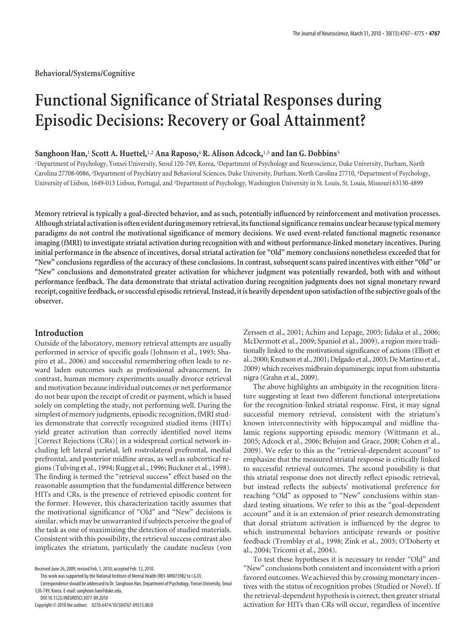**Behavioral/Systems/Cognitive**

# **Functional Significance of Striatal Responses during Episodic Decisions: Recovery or Goal Attainment?**

# **Sanghoon Han,**<sup>1</sup> **Scott A. Huettel,**1,2 **Ana Raposo,**<sup>4</sup> **R. Alison Adcock,**1,3 **and Ian G. Dobbins**<sup>5</sup>

1 Department of Psychology, Yonsei University, Seoul 120-749, Korea, <sup>2</sup> Department of Psychology and Neuroscience, Duke University, Durham, North Carolina 27708-0086, <sup>3</sup> Department of Psychiatry and Behavioral Sciences, Duke University, Durham, North Carolina 27710, <sup>4</sup> Department of Psychology, University of Lisbon, 1649-013 Lisbon, Portugal, and <sup>5</sup> Department of Psychology, Washington University in St. Louis, St. Louis, Missouri 63130-4899

**Memory retrieval is typically a goal-directed behavior, and as such, potentially influenced by reinforcement and motivation processes. Although striatal activation is often evident during memory retrieval, itsfunctional significance remains unclear becausetypical memory paradigms do not control the motivational significance of memory decisions. We used event-related functional magnetic resonance imaging (fMRI) to investigate striatal activation during recognition with and without performance-linked monetary incentives. During initial performance in the absence of incentives, dorsal striatal activation for "Old" memory conclusions nonetheless exceeded that for "New" conclusions regardless of the accuracy of these conclusions. In contrast, subsequent scans paired incentives with either "Old" or "New" conclusions and demonstrated greater activation for whichever judgment was potentially rewarded, both with and without performance feedback. The data demonstrate that striatal activation during recognition judgments does not signal monetary reward** receipt, cognitive feedback, or successful episodic retrieval. Instead, it is heavily dependent upon satisfaction of the subjective goals of the **observer.**

# **Introduction**

Outside of the laboratory, memory retrieval attempts are usually performed in service of specific goals (Johnson et al., 1993; Shapiro et al., 2006) and successful remembering often leads to reward laden outcomes such as professional advancement. In contrast, human memory experiments usually divorce retrieval and motivation because individual outcomes or net performance do not bear upon the receipt of credit or payment, which is based solely on completing the study, not performing well. During the simplest of memory judgments, episodic recognition, fMRI studies demonstrate that correctly recognized studied items (HITs) yield greater activation than correctly identified novel items [Correct Rejections (CRs)] in a widespread cortical network including left lateral parietal, left rostrolateral prefrontal, medial prefrontal, and posterior midline areas, as well as subcortical regions (Tulving et al., 1994; Rugg et al., 1996; Buckner et al., 1998). The finding is termed the "retrieval success" effect based on the reasonable assumption that the fundamental difference between HITs and CRs, is the presence of retrieved episodic content for the former. However, this characterization tacitly assumes that the motivational significance of "Old" and "New" decisions is similar, which may be unwarranted if subjects perceive the goal of the task as one of maximizing the detection of studied materials. Consistent with this possibility, the retrieval success contrast also implicates the striatum, particularly the caudate nucleus (von

DOI:10.1523/JNEUROSCI.3077-09.2010

Zerssen et al., 2001; Achim and Lepage, 2005; Iidaka et al., 2006; McDermott et al., 2009; Spaniol et al., 2009), a region more traditionally linked to the motivational significance of actions (Elliott et al., 2000; Knutson et al., 2001; Delgado et al., 2003; De Martino et al., 2009) which receives midbrain dopaminergic input from substantia nigra (Grahn et al., 2009).

The above highlights an ambiguity in the recognition literature suggesting at least two different functional interpretations for the recognition-linked striatal response. First, it may signal successful memory retrieval, consistent with the striatum's known interconnectivity with hippocampal and midline thalamic regions supporting episodic memory (Wittmann et al., 2005; Adcock et al., 2006; Belujon and Grace, 2008; Cohen et al., 2009). We refer to this as the "retrieval-dependent account" to emphasize that the measured striatal response is critically linked to successful retrieval outcomes. The second possibility is that this striatal response does not directly reflect episodic retrieval, but instead reflects the subjects' motivational preference for reaching "Old" as opposed to "New" conclusions within standard testing situations. We refer to this as the "goal-dependent account" and it is an extension of prior research demonstrating that dorsal striatum activation is influenced by the degree to which instrumental behaviors anticipate rewards or positive feedback (Tremblay et al., 1998; Zink et al., 2003; O'Doherty et al., 2004; Tricomi et al., 2004).

To test these hypotheses it is necessary to render "Old" and "New" conclusions both consistent and inconsistent with a priori favored outcomes. We achieved this by crossing monetary incentives with the status of recognition probes (Studied or Novel). If the retrieval-dependent hypothesis is correct, then greater striatal activation for HITs than CRs will occur, regardless of incentive

Received June 26, 2009; revised Feb. 1, 2010; accepted Feb. 12, 2010.

This work was supported by the National Institute of Mental Health (R01-MH073982 to I.G.D).

Correspondence should be addressed to Dr. Sanghoon Han, Department of Psychology, Yonsei University, Seoul 120-749, Korea. E-mail: sanghoon.han@duke.edu.

Copyright © 2010 the authors 0270-6474/10/304767-09\$15.00/0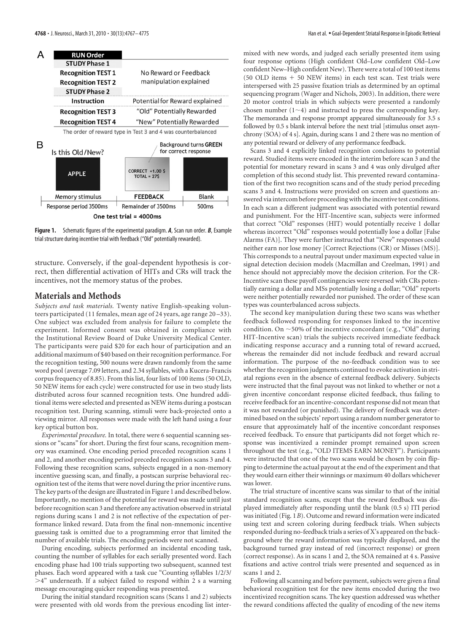

**Figure 1.** Schematic figures of the experimental paradigm. *A*, Scan run order. *B*, Example trial structure during incentive trial with feedback ("Old" potentially rewarded).

structure. Conversely, if the goal-dependent hypothesis is correct, then differential activation of HITs and CRs will track the incentives, not the memory status of the probes.

# **Materials and Methods**

*Subjects and task materials.* Twenty native English-speaking volunteers participated (11 females, mean age of 24 years, age range 20 –33). One subject was excluded from analysis for failure to complete the experiment. Informed consent was obtained in compliance with the Institutional Review Board of Duke University Medical Center. The participants were paid \$20 for each hour of participation and an additional maximum of \$40 based on their recognition performance. For the recognition testing, 500 nouns were drawn randomly from the same word pool (average 7.09 letters, and 2.34 syllables, with a Kucera-Francis corpus frequency of 8.85). From this list, four lists of 100 items (50 OLD, 50 NEW items for each cycle) were constructed for use in two study lists distributed across four scanned recognition tests. One hundred additional items were selected and presented as NEW items during a postscan recognition test. During scanning, stimuli were back-projected onto a viewing mirror. All responses were made with the left hand using a four key optical button box.

*Experimental procedure.* In total, there were 6 sequential scanning sessions or "scans" for short. During the first four scans, recognition memory was examined. One encoding period preceded recognition scans 1 and 2, and another encoding period preceded recognition scans 3 and 4. Following these recognition scans, subjects engaged in a non-memory incentive guessing scan, and finally, a postscan surprise behavioral recognition test of the items that were novel during the prior incentive runs. The key parts of the design are illustrated in Figure 1 and described below. Importantly, no mention of the potential for reward was made until just before recognition scan 3 and therefore any activation observed in striatal regions during scans 1 and 2 is not reflective of the expectation of performance linked reward. Data from the final non-mnemonic incentive guessing task is omitted due to a programming error that limited the number of available trials. The encoding periods were not scanned.

During encoding, subjects performed an incidental encoding task, counting the number of syllables for each serially presented word. Each encoding phase had 100 trials supporting two subsequent, scanned test phases. Each word appeared with a task cue "Counting syllables 1/2/3/  $>4$ " underneath. If a subject failed to respond within 2 s a warning message encouraging quicker responding was presented.

During the initial standard recognition scans (Scans 1 and 2) subjects were presented with old words from the previous encoding list intermixed with new words, and judged each serially presented item using four response options (High confident Old–Low confident Old–Low confident New–High confident New). There were a total of 100 test items (50 OLD items - 50 NEW items) in each test scan. Test trials were interspersed with 25 passive fixation trials as determined by an optimal sequencing program (Wager and Nichols, 2003). In addition, there were 20 motor control trials in which subjects were presented a randomly chosen number  $(1-4)$  and instructed to press the corresponding key. The memoranda and response prompt appeared simultaneously for 3.5 s followed by 0.5 s blank interval before the next trial [stimulus onset asynchrony (SOA) of 4 s]. Again, during scans 1 and 2 there was no mention of any potential reward or delivery of any performance feedback.

Scans 3 and 4 explicitly linked recognition conclusions to potential reward. Studied items were encoded in the interim before scan 3 and the potential for monetary reward in scans 3 and 4 was only divulged after completion of this second study list. This prevented reward contamination of the first two recognition scans and of the study period preceding scans 3 and 4. Instructions were provided on screen and questions answered via intercom before proceeding with the incentive test conditions. In each scan a different judgment was associated with potential reward and punishment. For the HIT-Incentive scan, subjects were informed that correct "Old" responses (HIT) would potentially receive 1 dollar whereas incorrect "Old" responses would potentially lose a dollar [False Alarms (FA)]. They were further instructed that "New" responses could neither earn nor lose money [Correct Rejections (CR) or Misses (MS)]. This corresponds to a neutral payout under maximum expected value in signal detection decision models (Macmillan and Creelman, 1991) and hence should not appreciably move the decision criterion. For the CR-Incentive scan these payoff contingencies were reversed with CRs potentially earning a dollar and MSs potentially losing a dollar; "Old" reports were neither potentially rewarded nor punished. The order of these scan types was counterbalanced across subjects.

The second key manipulation during these two scans was whether feedback followed responding for responses linked to the incentive condition. On  $\sim$  50% of the incentive concordant (e.g., "Old" during HIT-Incentive scan) trials the subjects received immediate feedback indicating response accuracy and a running total of reward accrued, whereas the remainder did not include feedback and reward accrual information. The purpose of the no-feedback condition was to see whether the recognition judgments continued to evoke activation in striatal regions even in the absence of external feedback delivery. Subjects were instructed that the final payout was not linked to whether or not a given incentive concordant response elicited feedback, thus failing to receive feedback for an incentive-concordant response did not mean that it was not rewarded (or punished). The delivery of feedback was determined based on the subjects' report using a random number generator to ensure that approximately half of the incentive concordant responses received feedback. To ensure that participants did not forget which response was incentivized a reminder prompt remained upon screen throughout the test (e.g., "OLD ITEMS EARN MONEY"). Participants were instructed that one of the two scans would be chosen by coin flipping to determine the actual payout at the end of the experiment and that they would earn either their winnings or maximum 40 dollars whichever was lower.

The trial structure of incentive scans was similar to that of the initial standard recognition scans, except that the reward feedback was displayed immediately after responding until the blank (0.5 s) ITI period was initiated (Fig. 1*B*). Outcome and reward information were indicated using text and screen coloring during feedback trials. When subjects responded during no-feedback trials a series of X's appeared on the background where the reward information was typically displayed, and the background turned gray instead of red (incorrect response) or green (correct response). As in scans 1 and 2, the SOA remained at 4 s. Passive fixations and active control trials were presented and sequenced as in scans 1 and 2.

Following all scanning and before payment, subjects were given a final behavioral recognition test for the new items encoded during the two incentivized recognition scans. The key question addressed was whether the reward conditions affected the quality of encoding of the new items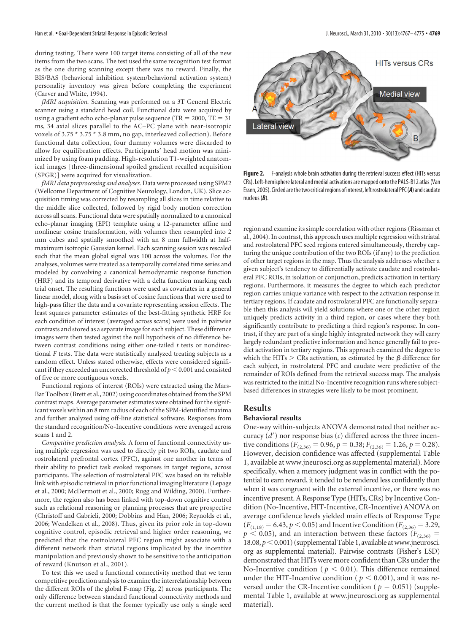during testing. There were 100 target items consisting of all of the new items from the two scans. The test used the same recognition test format as the one during scanning except there was no reward. Finally, the BIS/BAS (behavioral inhibition system/behavioral activation system) personality inventory was given before completing the experiment (Carver and White, 1994).

*fMRI acquisition.* Scanning was performed on a 3T General Electric scanner using a standard head coil. Functional data were acquired by using a gradient echo echo-planar pulse sequence (TR =  $2000$ , TE =  $31$ ) ms, 34 axial slices parallel to the AC–PC plane with near-isotropic voxels of 3.75 \* 3.75 \* 3.8 mm, no gap, interleaved collection). Before functional data collection, four dummy volumes were discarded to allow for equilibration effects. Participants' head motion was minimized by using foam padding. High-resolution T1-weighted anatomical images [three-dimensional spoiled gradient recalled acquisition (SPGR)] were acquired for visualization.

*fMRI data preprocessing and analyses.* Data were processed using SPM2 (Wellcome Department of Cognitive Neurology, London, UK). Slice acquisition timing was corrected by resampling all slices in time relative to the middle slice collected, followed by rigid body motion correction across all scans. Functional data were spatially normalized to a canonical echo-planar imaging (EPI) template using a 12-parameter affine and nonlinear cosine transformation, with volumes then resampled into 2 mm cubes and spatially smoothed with an 8 mm fullwidth at halfmaximum isotropic Gaussian kernel. Each scanning session was rescaled such that the mean global signal was 100 across the volumes. For the analyses, volumes were treated as a temporally correlated time series and modeled by convolving a canonical hemodynamic response function (HRF) and its temporal derivative with a delta function marking each trial onset. The resulting functions were used as covariates in a general linear model, along with a basis set of cosine functions that were used to high-pass filter the data and a covariate representing session effects. The least squares parameter estimates of the best-fitting synthetic HRF for each condition of interest (averaged across scans) were used in pairwise contrasts and stored as a separate image for each subject. These difference images were then tested against the null hypothesis of no difference between contrast conditions using either one-tailed *t* tests or nondirectional *F* tests. The data were statistically analyzed treating subjects as a random effect. Unless stated otherwise, effects were considered significant if they exceeded an uncorrected threshold of  $p < 0.001$  and consisted of five or more contiguous voxels.

Functional regions of interest (ROIs) were extracted using the Mars-Bar Toolbox (Brett et al., 2002) using coordinates obtained from the SPM contrast maps. Average parameter estimates were obtained for the significant voxels within an 8 mm radius of each of the SPM-identified maxima and further analyzed using off-line statistical software. Responses from the standard recognition/No-Incentive conditions were averaged across scans 1 and 2.

*Competitive prediction analysis.* A form of functional connectivity using multiple regression was used to directly pit two ROIs, caudate and rostrolateral prefrontal cortex (PFC), against one another in terms of their ability to predict task evoked responses in target regions, across participants. The selection of rostrolateral PFC was based on its reliable link with episodic retrieval in prior functional imaging literature (Lepage et al., 2000; McDermott et al., 2000; Rugg and Wilding, 2000). Furthermore, the region also has been linked with top-down cognitive control such as relational reasoning or planning processes that are prospective (Christoff and Gabrieli, 2000; Dobbins and Han, 2006; Reynolds et al., 2006; Wendelken et al., 2008). Thus, given its prior role in top-down cognitive control, episodic retrieval and higher order reasoning, we predicted that the rostrolateral PFC region might associate with a different network than striatal regions implicated by the incentive manipulation and previously shown to be sensitive to the anticipation of reward (Knutson et al., 2001).

To test this we used a functional connectivity method that we term competitive prediction analysis to examine the interrelationship between the different ROIs of the global F-map (Fig. 2) across participants. The only difference between standard functional connectivity methods and the current method is that the former typically use only a single seed



**Figure 2.** F-analysis whole brain activation during the retrieval success effect (HITs versus CRs). Left-hemisphere lateral and medial activations are mapped onto the PALS-B12 atlas (Van Essen, 2005). Circled are the two critical regions of interest, left rostrolateral PFC(*A*) and caudate nucleus (*B*).

region and examine its simple correlation with other regions (Rissman et al., 2004). In contrast, this approach uses multiple regression with striatal and rostrolateral PFC seed regions entered simultaneously, thereby capturing the unique contribution of the two ROIs (if any) to the prediction of other target regions in the map. Thus the analysis addresses whether a given subject's tendency to differentially activate caudate and rostrolateral PFC ROIs, in isolation or conjunction, predicts activation in tertiary regions. Furthermore, it measures the degree to which each predictor region carries unique variance with respect to the activation response in tertiary regions. If caudate and rostrolateral PFC are functionally separable then this analysis will yield solutions where one or the other region uniquely predicts activity in a third region, or cases where they both significantly contribute to predicting a third region's response. In contrast, if they are part of a single highly integrated network they will carry largely redundant predictive information and hence generally fail to predict activation in tertiary regions. This approach examined the degree to which the HITs  $>$  CRs activation, as estimated by the  $\beta$  difference for each subject, in rostrolateral PFC and caudate were predictive of the remainder of ROIs defined from the retrieval success map. The analysis was restricted to the initial No-Incentive recognition runs where subjectbased differences in strategies were likely to be most prominent.

# **Results**

# **Behavioral results**

One-way within-subjects ANOVA demonstrated that neither accuracy  $(d')$  nor response bias  $(c)$  differed across the three incentive conditions ( $F_{(2,36)} = 0.96$ ,  $p = 0.38$ ;  $F_{(2,36)} = 1.26$ ,  $p = 0.28$ ). However, decision confidence was affected (supplemental Table 1, available at www.jneurosci.org assupplemental material). More specifically, when a memory judgment was in conflict with the potential to earn reward, it tended to be rendered less confidently than when it was congruent with the external incentive, or there was no incentive present. A Response Type (HITs, CRs) by Incentive Condition (No-Incentive, HIT-Incentive, CR-Incentive) ANOVA on average confidence levels yielded main effects of Response Type  $(F_{(1,18)} = 6.43, p < 0.05)$  and Incentive Condition  $(F_{(2,36)} = 3.29,$  $p < 0.05$ ), and an interaction between these factors ( $F<sub>(2,36)</sub>$  = 18.08,  $p < 0.001$ ) (supplemental Table 1, available at www.jneurosci. org as supplemental material). Pairwise contrasts (Fisher's LSD) demonstrated that HITs were more confident than CRs under the No-Incentive condition ( $p < 0.01$ ). This difference remained under the HIT-Incentive condition ( $p < 0.001$ ), and it was reversed under the CR-Incentive condition ( $p = 0.051$ ) (supplemental Table 1, available at www.jneurosci.org as supplemental material).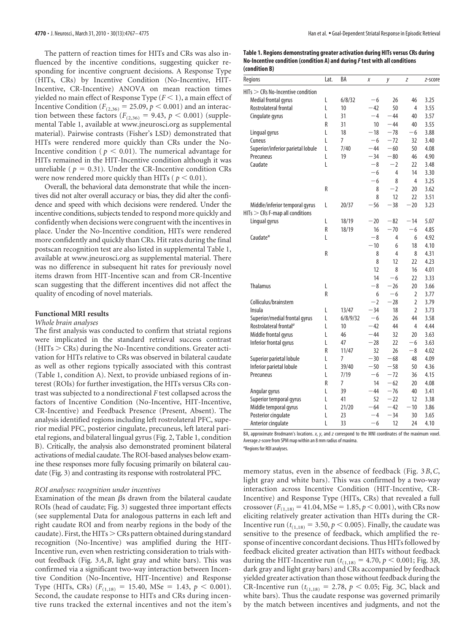The pattern of reaction times for HITs and CRs was also influenced by the incentive conditions, suggesting quicker responding for incentive congruent decisions. A Response Type (HITs, CRs) by Incentive Condition (No-Incentive, HIT-Incentive, CR-Incentive) ANOVA on mean reaction times yielded no main effect of Response Type  $(F < 1)$ , a main effect of Incentive Condition ( $F_{(2,36)} = 25.09$ ,  $p < 0.001$ ) and an interaction between these factors ( $F_{(2,36)} = 9.43$ ,  $p < 0.001$ ) (supplemental Table 1, available at www.jneurosci.org as supplemental material). Pairwise contrasts (Fisher's LSD) demonstrated that HITs were rendered more quickly than CRs under the No-Incentive condition ( $p < 0.01$ ). The numerical advantage for HITs remained in the HIT-Incentive condition although it was unreliable ( $p = 0.31$ ). Under the CR-Incentive condition CRs were now rendered more quickly than HITs ( $p < 0.01$ ).

Overall, the behavioral data demonstrate that while the incentives did not alter overall accuracy or bias, they did alter the confidence and speed with which decisions were rendered. Under the incentive conditions, subjects tended to respond more quickly and confidently when decisions were congruent with the incentives in place. Under the No-Incentive condition, HITs were rendered more confidently and quickly than CRs. Hit rates during the final postscan recognition test are also listed in supplemental Table 1, available at www.jneurosci.org as supplemental material. There was no difference in subsequent hit rates for previously novel items drawn from HIT-Incentive scan and from CR-Incentive scan suggesting that the different incentives did not affect the quality of encoding of novel materials.

# **Functional MRI results**

#### *Whole brain analyses*

The first analysis was conducted to confirm that striatal regions were implicated in the standard retrieval success contrast  $(HITs > CRs)$  during the No-Incentive conditions. Greater activation for HITs relative to CRs was observed in bilateral caudate as well as other regions typically associated with this contrast (Table 1, condition A). Next, to provide unbiased regions of interest (ROIs) for further investigation, the HITs versus CRs contrast was subjected to a nondirectional *F* test collapsed across the factors of Incentive Condition (No-Incentive, HIT-Incentive, CR-Incentive) and Feedback Presence (Present, Absent). The analysis identified regions including left rostrolateral PFC, superior medial PFC, posterior cingulate, precuneus, left lateral parietal regions, and bilateral lingual gyrus (Fig. 2, Table 1, condition B). Critically, the analysis also demonstrated prominent bilateral activations of medial caudate. The ROI-based analyses below examine these responses more fully focusing primarily on bilateral caudate (Fig. 3) and contrasting its response with rostrolateral PFC.

#### *ROI analyses: recognition under incentives*

Examination of the mean  $\beta s$  drawn from the bilateral caudate ROIs (head of caudate; Fig. 3) suggested three important effects (see supplemental Data for analogous patterns in each left and right caudate ROI and from nearby regions in the body of the caudate). First, the HITs  $>$  CRs pattern obtained during standard recognition (No-Incentive) was amplified during the HIT-Incentive run, even when restricting consideration to trials without feedback (Fig. 3*A*,*B*, light gray and white bars). This was confirmed via a significant two-way interaction between Incentive Condition (No-Incentive, HIT-Incentive) and Response Type (HITs, CRs)  $(F_{(1,18)} = 15.40, \text{MSe} = 1.43, p < 0.001).$ Second, the caudate response to HITs and CRs during incentive runs tracked the external incentives and not the item's

| Table 1. Regions demonstrating greater activation during HITs versus CRs during |
|---------------------------------------------------------------------------------|
| No-Incentive condition (condition A) and during $F$ test with all conditions    |
| (condition B)                                                                   |

| Regions                             | Lat. | ВA       | Χ       | у     | Z              | z-score |
|-------------------------------------|------|----------|---------|-------|----------------|---------|
| $HITs > CRs$ No-Incentive condition |      |          |         |       |                |         |
| Medial frontal gyrus                | L    | 6/8/32   | $-6$    | 26    | 46             | 3.25    |
| Rostrolateral frontal               | L    | 10       | $-42$   | 50    | 4              | 3.55    |
| Cingulate gyrus                     | L    | 31       | $-4$    | $-44$ | 40             | 3.57    |
|                                     | R    | 31       | 10      | $-44$ | 40             | 3.55    |
| Lingual gyrus                       | L    | 18       | $-18$   | $-78$ | $-6$           | 3.88    |
| Cuneus                              | L    | 7        | $-6$    | $-72$ | 32             | 3.40    |
| Superior/inferior parietal lobule   | L    | 7/40     | $-44$   | $-60$ | 50             | 4.08    |
| Precuneus                           | L    | 19       | $-34$   | $-80$ | 46             | 4.90    |
| Caudate                             | L    |          | $-8$    | $-2$  | 22             | 3.48    |
|                                     |      |          | $-6$    | 4     | 14             | 3.30    |
|                                     |      |          | $-6$    | 8     | 4              | 3.25    |
|                                     | R    |          | 8       | $-2$  | 20             | 3.62    |
|                                     |      |          | 8       | 12    | 22             | 3.51    |
| Middle/inferior temporal gyrus      | L    | 20/37    | $-56$   | $-38$ | $-20$          | 3.23    |
| $HITs > CRs$ F-map all conditions   |      |          |         |       |                |         |
| Lingual gyrus                       | L    | 18/19    | $-20$   | $-82$ | $-14$          | 5.07    |
|                                     | R    | 18/19    | 16      | $-70$ | $-6$           | 4.85    |
| Caudate*                            | L    |          | $-8$    | 4     | 6              | 4.92    |
|                                     |      |          | $-10$   | 6     | 18             | 4.10    |
|                                     | R    |          | 8       | 4     | 8              | 4.31    |
|                                     |      |          | 8       | 12    | 22             | 4.23    |
|                                     |      |          | 12      | 8     | 16             | 4.01    |
|                                     |      |          | 14      | $-6$  | 22             | 3.33    |
| <b>Thalamus</b>                     | L    |          | $-8$    | $-26$ | 20             | 3.66    |
|                                     | R    |          | 6       | $-6$  | 2              | 3.77    |
| Colliculus/brainstem                |      |          | $^{-2}$ | $-28$ | $\overline{2}$ | 3.79    |
| Insula                              | L    | 13/47    | $-34$   | 18    | $\overline{2}$ | 3.73    |
| Superior/medial frontal gyrus       | L    | 6/8/9/32 | $-6$    | 26    | 44             | 3.58    |
| Rostrolateral frontal <sup>a</sup>  | L    | 10       | $-42$   | 44    | 4              | 4.44    |
| Middle frontal gyrus                | L    | 46       | $-44$   | 32    | 20             | 3.63    |
| Inferior frontal gyrus              | L    | 47       | $-28$   | 22    | $-6$           | 3.63    |
|                                     | R    | 11/47    | 32      | 26    | $-8$           | 4.02    |
| Superior parietal lobule            | L    | 7        | $-30$   | $-68$ | 48             | 4.09    |
| Inferior parietal lobule            | L    | 39/40    | $-50$   | $-58$ | 50             | 4.36    |
| Precuneus                           | L    | 7/19     | $-6$    | $-72$ | 36             | 4.15    |
|                                     | R    | 7        | 14      | $-62$ | 20             | 4.08    |
| Angular gyrus                       | L    | 39       | $-44$   | $-76$ | 40             | 3.41    |
| Superior temporal gyrus             | L    | 41       | 52      | $-22$ | 12             | 3.38    |
| Middle temporal gyrus               | L    | 21/20    | $-64$   | $-42$ | $-10$          | 3.86    |
| Posterior cingulate                 | L    | 23       | $-4$    | $-34$ | 30             | 3.65    |
| Anterior cingulate                  | L    | 33       | $-6$    | 12    | 24             | 4.10    |

BA, approximate Brodmann's locations. *x*, *y*, and *z* correspond to the MNI coordinates of the maximum voxel. Average*z*-score from SPM map within an 8 mm radius of maxima.

*a* Regions for ROI analyses.

memory status, even in the absence of feedback (Fig. 3*B*,*C*, light gray and white bars). This was confirmed by a two-way interaction across Incentive Condition (HIT-Incentive, CR-Incentive) and Response Type (HITs, CRs) that revealed a full crossover  $(F_{(1,18)} = 41.04, \text{MSe} = 1.85, p \lt 0.001)$ , with CRs now eliciting relatively greater activation than HITs during the CR-Incentive run ( $t_{(1,18)} = 3.50$ ,  $p < 0.005$ ). Finally, the caudate was sensitive to the presence of feedback, which amplified the response of incentive concordant decisions. Thus HITs followed by feedback elicited greater activation than HITs without feedback during the HIT-Incentive run ( $t_{(1,18)} = 4.70$ ,  $p < 0.001$ ; Fig. 3*B*, dark gray and light gray bars) and CRs accompanied by feedback yielded greater activation than those without feedback during the CR-Incentive run ( $t_{(1,18)} = 2.78$ ,  $p < 0.05$ ; Fig. 3*C*, black and white bars). Thus the caudate response was governed primarily by the match between incentives and judgments, and not the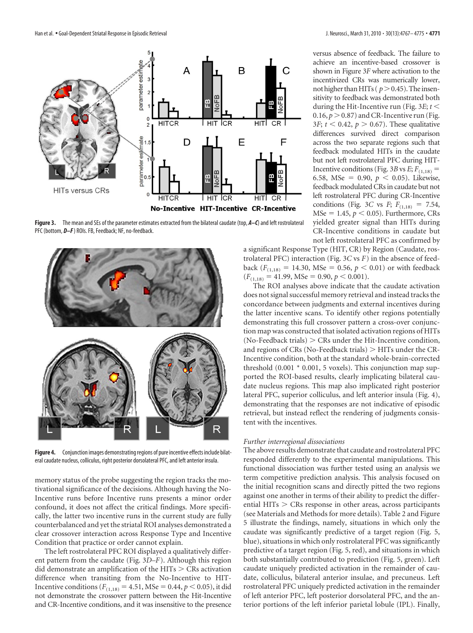Han et al. • Goal-Dependent Striatal Response in Episodic Retrieval **J. Neurosci., March 31, 2010 • 30(13):4767** – 4775 • 4771



**Figure 3.** The mean and SEs of the parameter estimates extracted from the bilateral caudate (top, *A–C*) and left rostrolateral PFC (bottom, *D–F*) ROIs. FB, Feedback; NF, no-feedback.



**Figure 4.** Conjunction images demonstrating regions of pure incentive effects include bilateral caudate nucleus, colliculus, right posterior dorsolateral PFC, and left anterior insula.

memory status of the probe suggesting the region tracks the motivational significance of the decisions. Although having the No-Incentive runs before Incentive runs presents a minor order confound, it does not affect the critical findings. More specifically, the latter two incentive runs in the current study are fully counterbalanced and yet the striatal ROI analyses demonstrated a clear crossover interaction across Response Type and Incentive Condition that practice or order cannot explain.

The left rostrolateral PFC ROI displayed a qualitatively different pattern from the caudate (Fig. 3*D–F*). Although this region did demonstrate an amplification of the HITs  $>$  CRs activation difference when transiting from the No-Incentive to HIT-Incentive conditions ( $F_{(1,18)} = 4.51$ , MSe = 0.44,  $p < 0.05$ ), it did not demonstrate the crossover pattern between the Hit-Incentive and CR-Incentive conditions, and it was insensitive to the presence versus absence of feedback. The failure to achieve an incentive-based crossover is shown in Figure 3*F* where activation to the incentivized CRs was numerically lower, not higher than HITs ( $p > 0.45$ ). The insensitivity to feedback was demonstrated both during the Hit-Incentive run (Fig. 3*E*; *t*  $0.16, p > 0.87$ ) and CR-Incentive run (Fig. 3*F*;  $t < 0.42$ ,  $p > 0.67$ ). These qualitative differences survived direct comparison across the two separate regions such that feedback modulated HITs in the caudate but not left rostrolateral PFC during HIT-Incentive conditions (Fig. 3*B* vs  $E$ ;  $F$ <sub>(1,18)</sub> = 6.58, MSe = 0.90,  $p < 0.05$ ). Likewise, feedback modulated CRs in caudate but not left rostrolateral PFC during CR-Incentive conditions (Fig. 3*C* vs *F*;  $F_{(1,18)} = 7.54$ ,  $MSe = 1.45$ ,  $p < 0.05$ ). Furthermore, CRs yielded greater signal than HITs during CR-Incentive conditions in caudate but not left rostrolateral PFC as confirmed by

a significant Response Type (HIT, CR) by Region (Caudate, rostrolateral PFC) interaction (Fig. 3*C* vs *F*) in the absence of feedback  $(F_{(1,18)} = 14.30, \text{ MSe} = 0.56, p < 0.01)$  or with feedback  $(F_{(1,18)} = 41.99, \text{MSe} = 0.90, p < 0.001).$ 

The ROI analyses above indicate that the caudate activation does not signal successful memory retrieval and instead tracks the concordance between judgments and external incentives during the latter incentive scans. To identify other regions potentially demonstrating this full crossover pattern a cross-over conjunction map was constructed that isolated activation regions of HITs  $(No-Feedback trials)$   $>$   $CRs$  under the Hit-Incentive condition, and regions of CRs (No-Feedback trials)  $>$  HITs under the CR-Incentive condition, both at the standard whole-brain-corrected threshold  $(0.001 * 0.001, 5$  voxels). This conjunction map supported the ROI-based results, clearly implicating bilateral caudate nucleus regions. This map also implicated right posterior lateral PFC, superior colliculus, and left anterior insula (Fig. 4), demonstrating that the responses are not indicative of episodic retrieval, but instead reflect the rendering of judgments consistent with the incentives.

# *Further interregional dissociations*

The above results demonstrate that caudate and rostrolateral PFC responded differently to the experimental manipulations. This functional dissociation was further tested using an analysis we term competitive prediction analysis. This analysis focused on the initial recognition scans and directly pitted the two regions against one another in terms of their ability to predict the differential  $HITs > CRs$  response in other areas, across participants (see Materials and Methods for more details). Table 2 and Figure 5 illustrate the findings, namely, situations in which only the caudate was significantly predictive of a target region (Fig. 5, blue), situations in which only rostrolateral PFC was significantly predictive of a target region (Fig. 5, red), and situations in which both substantially contributed to prediction (Fig. 5, green). Left caudate uniquely predicted activation in the remainder of caudate, colliculus, bilateral anterior insulae, and precuneus. Left rostrolateral PFC uniquely predicted activation in the remainder of left anterior PFC, left posterior dorsolateral PFC, and the anterior portions of the left inferior parietal lobule (IPL). Finally,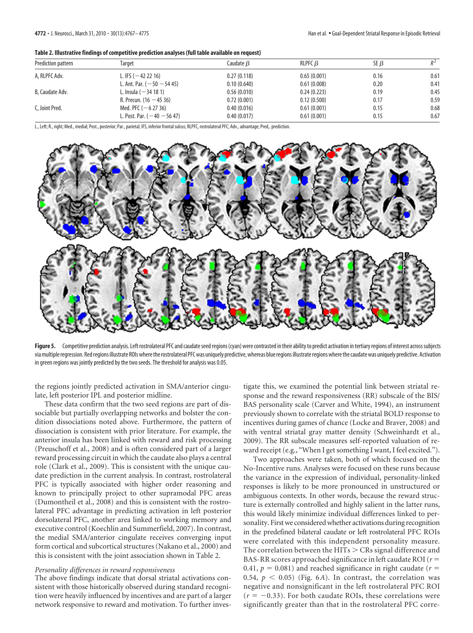|  |  |  | Table 2. Illustrative findings of competitive prediction analyses (full table available on request) |  |
|--|--|--|-----------------------------------------------------------------------------------------------------|--|
|--|--|--|-----------------------------------------------------------------------------------------------------|--|

| Prediction pattern | Target                        | Caudate $\bm{\beta}$ | <b>RLPFC</b> $\beta$ | SE B | $R^2$ |
|--------------------|-------------------------------|----------------------|----------------------|------|-------|
| A, RLPFC Adv.      | L. IFS $(-42 22 16)$          | 0.27(0.118)          | 0.65(0.001)          | 0.16 | 0.61  |
|                    | L. Ant. Par. $(-50 - 54 45)$  | 0.10(0.640)          | 0.61(0.008)          | 0.20 | 0.41  |
| B. Caudate Adv.    | L. Insula $(-34181)$          | 0.56(0.010)          | 0.24(0.223)          | 0.19 | 0.45  |
|                    | R. Precun. $(16 - 4536)$      | 0.72(0.001)          | 0.12(0.500)          | 0.17 | 0.59  |
| C, Joint Pred.     | Med. PFC $(-6\,27\,36)$       | 0.40(0.016)          | 0.61(0.001)          | 0.15 | 0.68  |
|                    | L. Post. Par. $(-40 - 56 47)$ | 0.40(0.017)          | 0.61(0.001)          | 0.15 | 0.67  |

L., Left; R., right; Med., medial; Post., posterior; Par., parietal; IFS, inferior frontal sulcus; RLPFC, rostrolateral PFC; Adv., advantage; Pred,. prediction.



Figure 5. Competitive prediction analysis. Left rostrolateral PFC and caudate seed regions (cyan) were contrasted in their ability to predict activation in tertiary regions of interest across subjects via multiple regression. Red regions illustrate ROIs where the rostrolateral PFC was uniquely predictive, whereas blue regions illustrate regions where the caudate was uniquely predictive. Activation in green regions was jointly predicted by the two seeds. The threshold for analysis was 0.05.

the regions jointly predicted activation in SMA/anterior cingulate, left posterior IPL and posterior midline.

These data confirm that the two seed regions are part of dissociable but partially overlapping networks and bolster the condition dissociations noted above. Furthermore, the pattern of dissociation is consistent with prior literature. For example, the anterior insula has been linked with reward and risk processing (Preuschoff et al., 2008) and is often considered part of a larger reward processing circuit in which the caudate also plays a central role (Clark et al., 2009). This is consistent with the unique caudate prediction in the current analysis. In contrast, rostrolateral PFC is typically associated with higher order reasoning and known to principally project to other supramodal PFC areas (Dumontheil et al., 2008) and this is consistent with the rostrolateral PFC advantage in predicting activation in left posterior dorsolateral PFC, another area linked to working memory and executive control (Koechlin and Summerfield, 2007). In contrast, the medial SMA/anterior cingulate receives converging input form cortical and subcortical structures (Nakano et al., 2000) and this is consistent with the joint association shown in Table 2.

# *Personality differences in reward responsiveness*

The above findings indicate that dorsal striatal activations consistent with those historically observed during standard recognition were heavily influenced by incentives and are part of a larger network responsive to reward and motivation. To further investigate this, we examined the potential link between striatal response and the reward responsiveness (RR) subscale of the BIS/ BAS personality scale (Carver and White, 1994), an instrument previously shown to correlate with the striatal BOLD response to incentives during games of chance (Locke and Braver, 2008) and with ventral striatal gray matter density (Schweinhardt et al., 2009). The RR subscale measures self-reported valuation of reward receipt (e.g., "When I get something I want, I feel excited.").

Two approaches were taken, both of which focused on the No-Incentive runs. Analyses were focused on these runs because the variance in the expression of individual, personality-linked responses is likely to be more pronounced in unstructured or ambiguous contexts. In other words, because the reward structure is externally controlled and highly salient in the latter runs, this would likely minimize individual differences linked to personality. First we considered whether activations during recognition in the predefined bilateral caudate or left rostrolateral PFC ROIs were correlated with this independent personality measure. The correlation between the  $HITs > CRs$  signal difference and BAS-RR scores approached significance in left caudate ROI (*r* 0.41,  $p = 0.081$ ) and reached significance in right caudate ( $r =$ 0.54,  $p < 0.05$ ) (Fig. 6*A*). In contrast, the correlation was negative and nonsignificant in the left rostrolateral PFC ROI  $(r = -0.33)$ . For both caudate ROIs, these correlations were significantly greater than that in the rostrolateral PFC corre-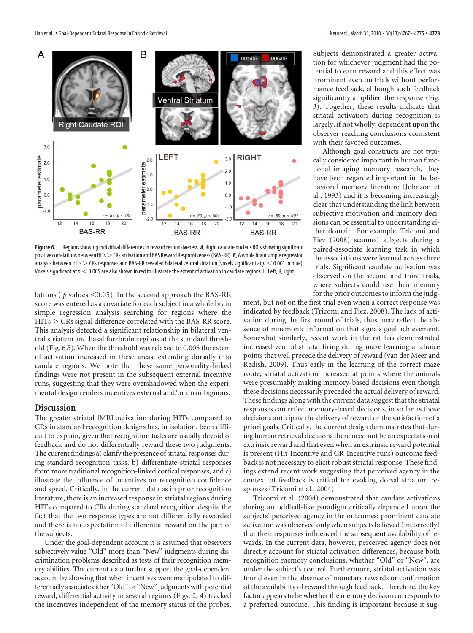

Figure 6. Regions showing individual differences in reward responsiveness. A, Right caudate nucleus ROIs showing significant positive correlations between HITs  $>$  CRs activation and BAS Reward Responsiveness (BAS-RR). *B*, A whole brain simple regression analysis between HITs  $>$  CRs responses and BAS-RR revealed bilateral ventral striatum (voxels significant at  $p$  < 0.001 in blue). Voxels significant at  $p < 0.005$  are also shown in red to illustrate the extent of activation in caudate regions. L, Left, R, right.

lations ( $p$  values  $\leq 0.05$ ). In the second approach the BAS-RR score was entered as a covariate for each subject in a whole brain simple regression analysis searching for regions where the  $HITs > CRs$  signal difference correlated with the BAS-RR score. This analysis detected a significant relationship in bilateral ventral striatum and basal forebrain regions at the standard threshold (Fig. 6*B*). When the threshold was relaxed to 0.005 the extent of activation increased in these areas, extending dorsally into caudate regions. We note that these same personality-linked findings were not present in the subsequent external incentive runs, suggesting that they were overshadowed when the experimental design renders incentives external and/or unambiguous.

# **Discussion**

The greater striatal fMRI activation during HITs compared to CRs in standard recognition designs has, in isolation, been difficult to explain, given that recognition tasks are usually devoid of feedback and do not differentially reward these two judgments. The current findings a) clarify the presence of striatal responses during standard recognition tasks, b) differentiate striatal responses from more traditional recognition-linked cortical responses, and c) illustrate the influence of incentives on recognition confidence and speed. Critically, in the current data as in prior recognition literature, there is an increased response in striatal regions during HITs compared to CRs during standard recognition despite the fact that the two response types are not differentially rewarded and there is no expectation of differential reward on the part of the subjects.

Under the goal-dependent account it is assumed that observers subjectively value "Old" more than "New" judgments during discrimination problems described as tests of their recognition memory abilities. The current data further support the goal-dependent account by showing that when incentives were manipulated to differentially associate either "Old" or "New" judgments with potential reward, differential activity in several regions (Figs. 2, 4) tracked the incentives independent of the memory status of the probes.

Subjects demonstrated a greater activation for whichever judgment had the potential to earn reward and this effect was prominent even on trials without performance feedback, although such feedback significantly amplified the response (Fig. 3). Together, these results indicate that striatal activation during recognition is largely, if not wholly, dependent upon the observer reaching conclusions consistent with their favored outcomes.

Although goal constructs are not typically considered important in human functional imaging memory research, they have been regarded important in the behavioral memory literature (Johnson et al., 1993) and it is becoming increasingly clear that understanding the link between subjective motivation and memory decisions can be essential to understanding either domain. For example, Tricomi and Fiez (2008) scanned subjects during a paired-associate learning task in which the associations were learned across three trials. Significant caudate activation was observed on the second and third trials, where subjects could use their memory for the prior outcomes to inform the judg-

ment, but not on the first trial even when a correct response was indicated by feedback (Tricomi and Fiez, 2008). The lack of activation during the first round of trials, thus, may reflect the absence of mnemonic information that signals goal achievement. Somewhat similarly, recent work in the rat has demonstrated increased ventral striatal firing during maze learning at choice points that well precede the delivery of reward (van der Meer and Redish, 2009). Thus early in the learning of the correct maze route, striatal activation increased at points where the animals were presumably making memory-based decisions even though these decisions necessarily preceded the actual delivery of reward. These findings along with the current data suggest that the striatal responses can reflect memory-based decisions, in so far as those decisions anticipate the delivery of reward or the satisfaction of a priori goals. Critically, the current design demonstrates that during human retrieval decisions there need not be an expectation of extrinsic reward and that even when an extrinsic reward potential is present (Hit-Incentive and CR-Incentive runs) outcome feedback is not necessary to elicit robust striatal response. These findings extend recent work suggesting that perceived agency in the context of feedback is critical for evoking dorsal striatum responses (Tricomi et al., 2004).

Tricomi et al. (2004) demonstrated that caudate activations during an oddball-like paradigm critically depended upon the subjects' perceived agency in the outcomes; prominent caudate activation was observed only when subjects believed (incorrectly) that their responses influenced the subsequent availability of rewards. In the current data, however, perceived agency does not directly account for striatal activation differences, because both recognition memory conclusions, whether "Old" or "New", are under the subject's control. Furthermore, striatal activation was found even in the absence of monetary rewards or confirmation of the availability of reward through feedback. Therefore, the key factor appears to be whether the memory decision corresponds to a preferred outcome. This finding is important because it sug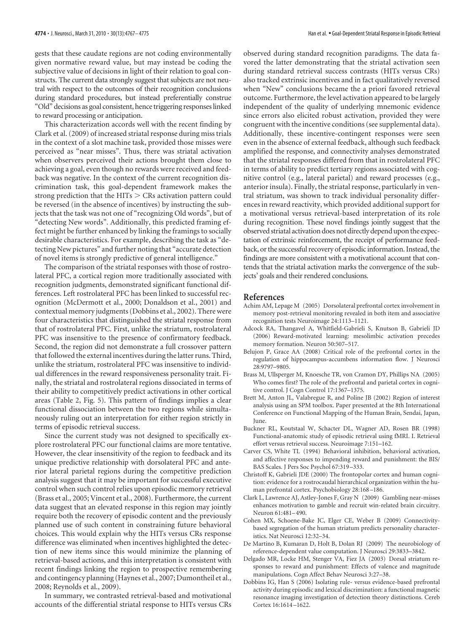gests that these caudate regions are not coding environmentally given normative reward value, but may instead be coding the subjective value of decisions in light of their relation to goal constructs. The current data strongly suggest that subjects are not neutral with respect to the outcomes of their recognition conclusions during standard procedures, but instead preferentially construe "Old" decisions as goal consistent, hence triggering responses linked to reward processing or anticipation.

This characterization accords well with the recent finding by Clark et al. (2009) of increased striatal response during miss trials in the context of a slot machine task, provided those misses were perceived as "near misses". Thus, there was striatal activation when observers perceived their actions brought them close to achieving a goal, even though no rewards were received and feedback was negative. In the context of the current recognition discrimination task, this goal-dependent framework makes the strong prediction that the  $HITs > CRs$  activation pattern could be reversed (in the absence of incentives) by instructing the subjects that the task was not one of "recognizing Old words", but of "detecting New words". Additionally, this predicted framing effect might be further enhanced by linking the framings to socially desirable characteristics. For example, describing the task as "detecting New pictures" and further noting that "accurate detection of novel items is strongly predictive of general intelligence."

The comparison of the striatal responses with those of rostrolateral PFC, a cortical region more traditionally associated with recognition judgments, demonstrated significant functional differences. Left rostrolateral PFC has been linked to successful recognition (McDermott et al., 2000; Donaldson et al., 2001) and contextual memory judgments (Dobbins et al., 2002). There were four characteristics that distinguished the striatal response from that of rostrolateral PFC. First, unlike the striatum, rostrolateral PFC was insensitive to the presence of confirmatory feedback. Second, the region did not demonstrate a full crossover pattern that followed the external incentives during the latter runs. Third, unlike the striatum, rostrolateral PFC was insensitive to individual differences in the reward responsiveness personality trait. Finally, the striatal and rostrolateral regions dissociated in terms of their ability to competitively predict activations in other cortical areas (Table 2, Fig. 5). This pattern of findings implies a clear functional dissociation between the two regions while simultaneously ruling out an interpretation for either region strictly in terms of episodic retrieval success.

Since the current study was not designed to specifically explore rostrolateral PFC our functional claims are more tentative. However, the clear insensitivity of the region to feedback and its unique predictive relationship with dorsolateral PFC and anterior lateral parietal regions during the competitive prediction analysis suggest that it may be important for successful executive control when such control relies upon episodic memory retrieval (Brass et al., 2005; Vincent et al., 2008). Furthermore, the current data suggest that an elevated response in this region may jointly require both the recovery of episodic content and the previously planned use of such content in constraining future behavioral choices. This would explain why the HITs versus CRs response difference was eliminated when incentives highlighted the detection of new items since this would minimize the planning of retrieval-based actions, and this interpretation is consistent with recent findings linking the region to prospective remembering and contingency planning (Haynes et al., 2007; Dumontheil et al., 2008; Reynolds et al., 2009).

In summary, we contrasted retrieval-based and motivational accounts of the differential striatal response to HITs versus CRs observed during standard recognition paradigms. The data favored the latter demonstrating that the striatal activation seen during standard retrieval success contrasts (HITs versus CRs) also tracked extrinsic incentives and in fact qualitatively reversed when "New" conclusions became the a priori favored retrieval outcome. Furthermore, the level activation appeared to be largely independent of the quality of underlying mnemonic evidence since errors also elicited robust activation, provided they were congruent with the incentive conditions (see supplemental data). Additionally, these incentive-contingent responses were seen even in the absence of external feedback, although such feedback amplified the response, and connectivity analyses demonstrated that the striatal responses differed from that in rostrolateral PFC in terms of ability to predict tertiary regions associated with cognitive control (e.g., lateral parietal) and reward processes (e.g., anterior insula). Finally, the striatal response, particularly in ventral striatum, was shown to track individual personality differences in reward reactivity, which provided additional support for a motivational versus retrieval-based interpretation of its role during recognition. These novel findings jointly suggest that the observed striatal activation does not directly depend upon the expectation of extrinsic reinforcement, the receipt of performance feedback, or the successful recovery of episodic information. Instead, the findings are more consistent with a motivational account that contends that the striatal activation marks the convergence of the subjects' goals and their rendered conclusions.

# **References**

- Achim AM, Lepage M (2005) Dorsolateral prefrontal cortex involvement in memory post-retrieval monitoring revealed in both item and associative recognition tests Neuroimage 24:1113–1121.
- Adcock RA, Thangavel A, Whitfield-Gabrieli S, Knutson B, Gabrieli JD (2006) Reward-motivated learning: mesolimbic activation precedes memory formation. Neuron 50:507–517.
- Belujon P, Grace AA (2008) Critical role of the prefrontal cortex in the regulation of hippocampus-accumbens information flow. J Neurosci 28:9797–9805.
- Brass M, Ullsperger M, Knoesche TR, von Cramon DY, Phillips NA (2005) Who comes first? The role of the prefrontal and parietal cortex in cognitive control. J Cogn Control 17:1367–1375.
- Brett M, Anton JL, Valabregue R, and Poline JB (2002) Region of interest analysis using an SPM toolbox. Paper presented at the 8th International Conference on Functional Mapping of the Human Brain, Sendai, Japan, June.
- Buckner RL, Koutstaal W, Schacter DL, Wagner AD, Rosen BR (1998) Functional-anatomic study of episodic retrieval using fMRI. I. Retrieval effort versus retrieval success. Neuroimage 7:151–162.
- Carver CS, White TL (1994) Behavioral inhibition, behavioral activation, and affective responses to impending reward and punishment: the BIS/ BAS Scales. J Pers Soc Psychol 67:319 –333.
- Christoff K, Gabrieli JDE (2000) The frontopolar cortex and human cognition: evidence for a rostrocaudal hierarchical organization within the human prefrontal cortex. Psychobiology 28:168 –186.
- Clark L, Lawrence AJ, Astley-Jones F, Gray N (2009) Gambling near-misses enhances motivation to gamble and recruit win-related brain circuitry. Neuron 61:481–490.
- Cohen MX, Schoene-Bake JC, Elger CE, Weber B (2009) Connectivitybased segregation of the human striatum predicts personality characteristics. Nat Neurosci 12:32–34.
- De Martino B, Kumaran D, Holt B, Dolan RJ (2009) The neurobiology of reference-dependent value computation. J Neurosci 29:3833–3842.
- Delgado MR, Locke HM, Stenger VA, Fiez JA (2003) Dorsal striatum responses to reward and punishment: Effects of valence and magnitude manipulations. Cogn Affect Behav Neurosci 3:27–38.
- Dobbins IG, Han S (2006) Isolating rule- versus evidence-based prefrontal activity during episodic and lexical discrimination: a functional magnetic resonance imaging investigation of detection theory distinctions. Cereb Cortex 16:1614 –1622.